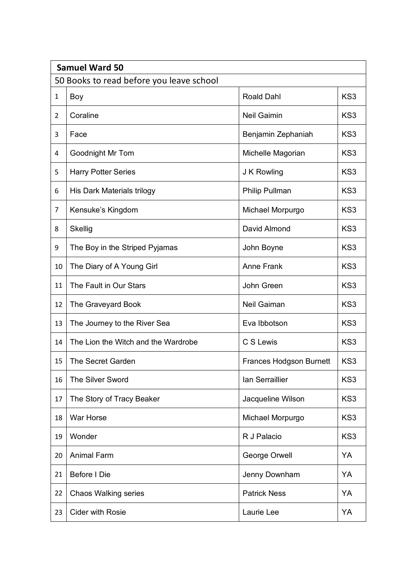|                                          | <b>Samuel Ward 50</b>               |                                |                 |  |  |  |  |
|------------------------------------------|-------------------------------------|--------------------------------|-----------------|--|--|--|--|
| 50 Books to read before you leave school |                                     |                                |                 |  |  |  |  |
| 1                                        | Boy                                 | <b>Roald Dahl</b>              | KS3             |  |  |  |  |
| $\overline{2}$                           | Coraline                            | <b>Neil Gaimin</b>             | KS <sub>3</sub> |  |  |  |  |
| 3                                        | Face                                | Benjamin Zephaniah             | KS <sub>3</sub> |  |  |  |  |
| 4                                        | Goodnight Mr Tom                    | Michelle Magorian              | KS3             |  |  |  |  |
| 5                                        | <b>Harry Potter Series</b>          | J K Rowling                    | KS <sub>3</sub> |  |  |  |  |
| 6                                        | His Dark Materials trilogy          | Philip Pullman                 | KS3             |  |  |  |  |
| 7                                        | Kensuke's Kingdom                   | Michael Morpurgo               | KS3             |  |  |  |  |
| 8                                        | Skellig                             | David Almond                   | KS3             |  |  |  |  |
| 9                                        | The Boy in the Striped Pyjamas      | John Boyne                     | KS3             |  |  |  |  |
| 10                                       | The Diary of A Young Girl           | <b>Anne Frank</b>              | KS3             |  |  |  |  |
| 11                                       | The Fault in Our Stars              | John Green                     | KS3             |  |  |  |  |
| 12                                       | The Graveyard Book                  | Neil Gaiman                    | KS3             |  |  |  |  |
| 13                                       | The Journey to the River Sea        | Eva Ibbotson                   | KS3             |  |  |  |  |
| 14                                       | The Lion the Witch and the Wardrobe | C S Lewis                      | KS3             |  |  |  |  |
| 15                                       | <b>The Secret Garden</b>            | <b>Frances Hodgson Burnett</b> | KS3             |  |  |  |  |
| 16                                       | The Silver Sword                    | lan Serraillier                | KS3             |  |  |  |  |
| 17                                       | The Story of Tracy Beaker           | Jacqueline Wilson              | KS3             |  |  |  |  |
| 18                                       | War Horse                           | Michael Morpurgo               | KS3             |  |  |  |  |
| 19                                       | Wonder                              | R J Palacio                    | KS3             |  |  |  |  |
| 20                                       | <b>Animal Farm</b>                  | George Orwell                  | YA              |  |  |  |  |
| 21                                       | Before I Die                        | Jenny Downham                  | YA              |  |  |  |  |
| 22                                       | <b>Chaos Walking series</b>         | <b>Patrick Ness</b>            | YA              |  |  |  |  |
| 23                                       | <b>Cider with Rosie</b>             | Laurie Lee                     | YA              |  |  |  |  |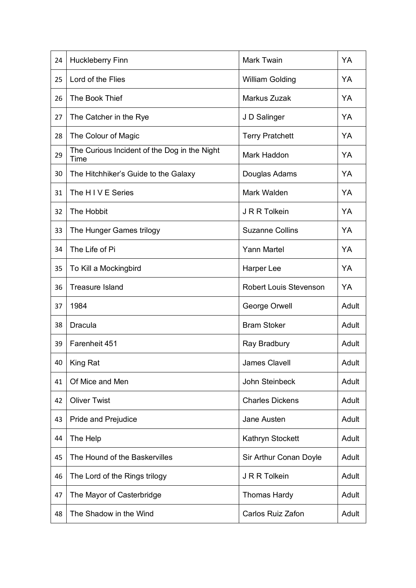| 24 | <b>Huckleberry Finn</b>                              | Mark Twain             | YA    |
|----|------------------------------------------------------|------------------------|-------|
| 25 | Lord of the Flies                                    | <b>William Golding</b> | YA    |
| 26 | The Book Thief                                       | Markus Zuzak           | YA    |
| 27 | The Catcher in the Rye                               | J D Salinger           | YA    |
| 28 | The Colour of Magic                                  | <b>Terry Pratchett</b> | YA    |
| 29 | The Curious Incident of the Dog in the Night<br>Time | Mark Haddon            | YA    |
| 30 | The Hitchhiker's Guide to the Galaxy                 | Douglas Adams          | YA    |
| 31 | The HIVE Series                                      | Mark Walden            | YA    |
| 32 | The Hobbit                                           | J R R Tolkein          | YA    |
| 33 | The Hunger Games trilogy                             | <b>Suzanne Collins</b> | YA    |
| 34 | The Life of Pi                                       | <b>Yann Martel</b>     | YA    |
| 35 | To Kill a Mockingbird                                | Harper Lee             | YA    |
| 36 | <b>Treasure Island</b>                               | Robert Louis Stevenson | YA    |
| 37 | 1984                                                 | George Orwell          | Adult |
| 38 | <b>Dracula</b>                                       | <b>Bram Stoker</b>     | Adult |
| 39 | Farenheit 451                                        | Ray Bradbury           | Adult |
| 40 | King Rat                                             | James Clavell          | Adult |
| 41 | Of Mice and Men                                      | <b>John Steinbeck</b>  | Adult |
| 42 | <b>Oliver Twist</b>                                  | <b>Charles Dickens</b> | Adult |
| 43 | Pride and Prejudice                                  | Jane Austen            | Adult |
| 44 | The Help                                             | Kathryn Stockett       | Adult |
| 45 | The Hound of the Baskervilles                        | Sir Arthur Conan Doyle | Adult |
| 46 | The Lord of the Rings trilogy                        | J R R Tolkein          | Adult |
| 47 | The Mayor of Casterbridge                            | <b>Thomas Hardy</b>    | Adult |
| 48 | The Shadow in the Wind                               | Carlos Ruiz Zafon      | Adult |